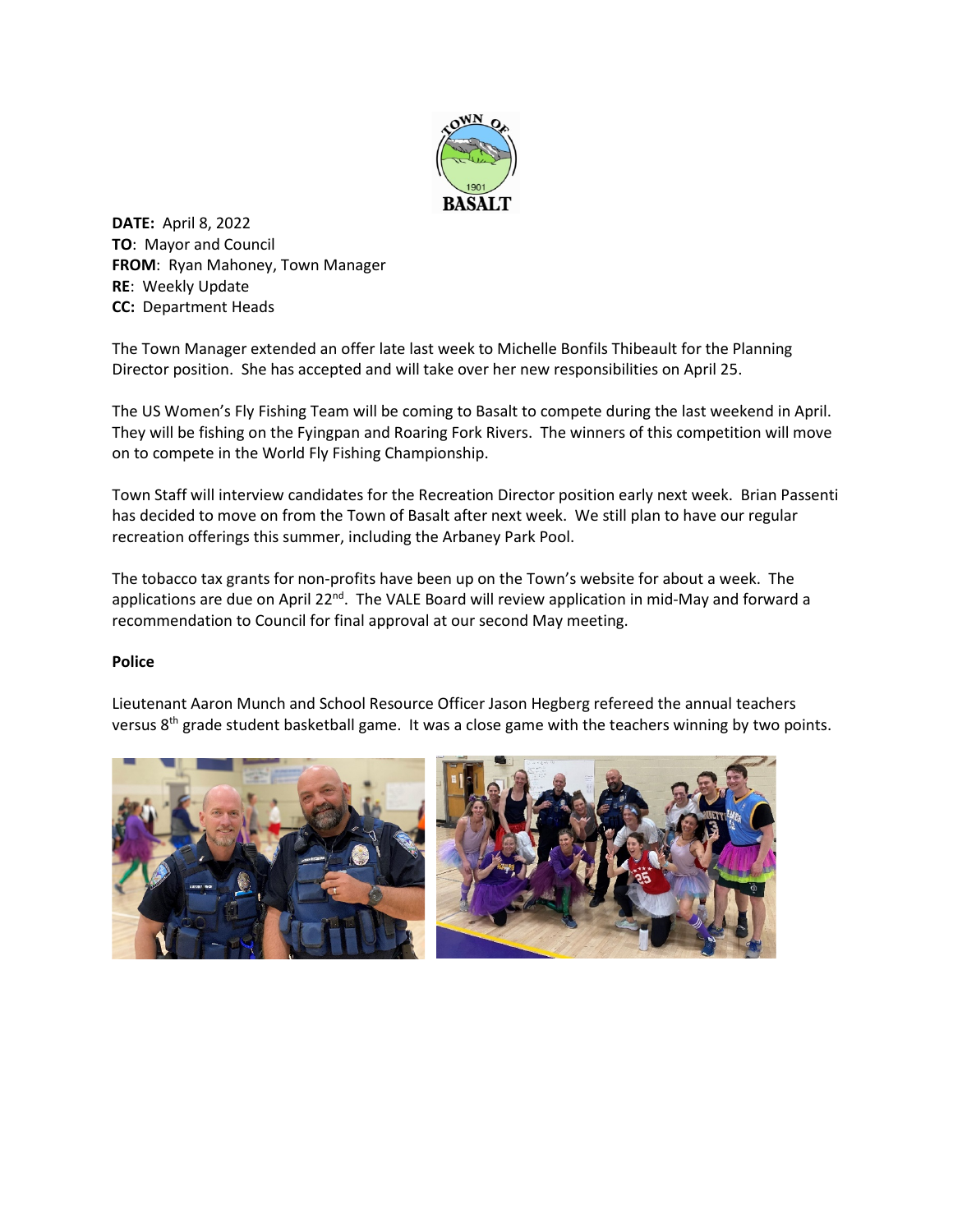

**DATE:** April 8, 2022 **TO**: Mayor and Council **FROM**: Ryan Mahoney, Town Manager **RE**: Weekly Update **CC:** Department Heads

The Town Manager extended an offer late last week to Michelle Bonfils Thibeault for the Planning Director position. She has accepted and will take over her new responsibilities on April 25.

The US Women's Fly Fishing Team will be coming to Basalt to compete during the last weekend in April. They will be fishing on the Fyingpan and Roaring Fork Rivers. The winners of this competition will move on to compete in the World Fly Fishing Championship.

Town Staff will interview candidates for the Recreation Director position early next week. Brian Passenti has decided to move on from the Town of Basalt after next week. We still plan to have our regular recreation offerings this summer, including the Arbaney Park Pool.

The tobacco tax grants for non-profits have been up on the Town's website for about a week. The applications are due on April 22<sup>nd</sup>. The VALE Board will review application in mid-May and forward a recommendation to Council for final approval at our second May meeting.

## **Police**

Lieutenant Aaron Munch and School Resource Officer Jason Hegberg refereed the annual teachers versus  $8<sup>th</sup>$  grade student basketball game. It was a close game with the teachers winning by two points.

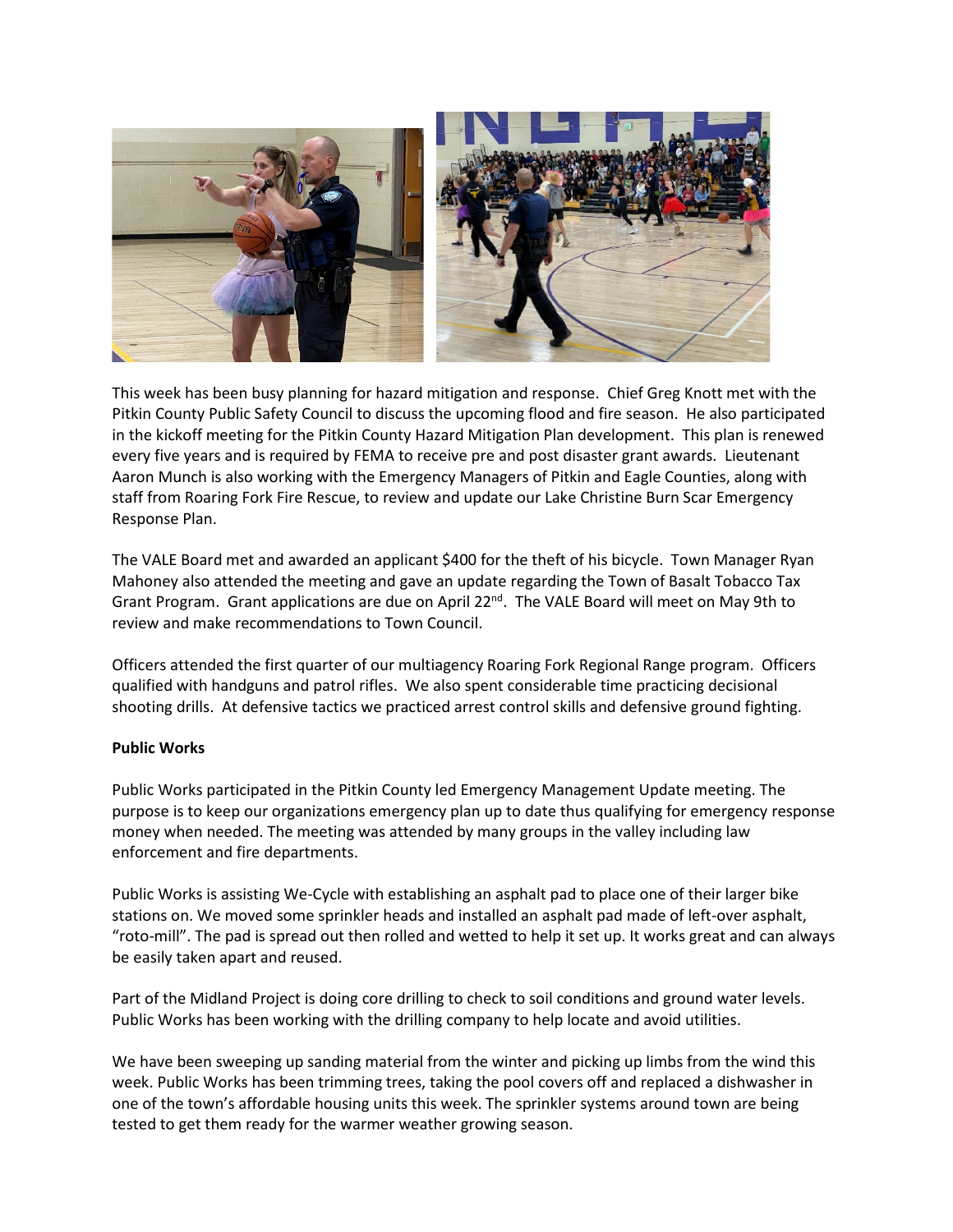

This week has been busy planning for hazard mitigation and response. Chief Greg Knott met with the Pitkin County Public Safety Council to discuss the upcoming flood and fire season. He also participated in the kickoff meeting for the Pitkin County Hazard Mitigation Plan development. This plan is renewed every five years and is required by FEMA to receive pre and post disaster grant awards. Lieutenant Aaron Munch is also working with the Emergency Managers of Pitkin and Eagle Counties, along with staff from Roaring Fork Fire Rescue, to review and update our Lake Christine Burn Scar Emergency Response Plan.

The VALE Board met and awarded an applicant \$400 for the theft of his bicycle. Town Manager Ryan Mahoney also attended the meeting and gave an update regarding the Town of Basalt Tobacco Tax Grant Program. Grant applications are due on April  $22^{nd}$ . The VALE Board will meet on May 9th to review and make recommendations to Town Council.

Officers attended the first quarter of our multiagency Roaring Fork Regional Range program. Officers qualified with handguns and patrol rifles. We also spent considerable time practicing decisional shooting drills. At defensive tactics we practiced arrest control skills and defensive ground fighting.

## **Public Works**

Public Works participated in the Pitkin County led Emergency Management Update meeting. The purpose is to keep our organizations emergency plan up to date thus qualifying for emergency response money when needed. The meeting was attended by many groups in the valley including law enforcement and fire departments.

Public Works is assisting We-Cycle with establishing an asphalt pad to place one of their larger bike stations on. We moved some sprinkler heads and installed an asphalt pad made of left-over asphalt, "roto-mill". The pad is spread out then rolled and wetted to help it set up. It works great and can always be easily taken apart and reused.

Part of the Midland Project is doing core drilling to check to soil conditions and ground water levels. Public Works has been working with the drilling company to help locate and avoid utilities.

We have been sweeping up sanding material from the winter and picking up limbs from the wind this week. Public Works has been trimming trees, taking the pool covers off and replaced a dishwasher in one of the town's affordable housing units this week. The sprinkler systems around town are being tested to get them ready for the warmer weather growing season.